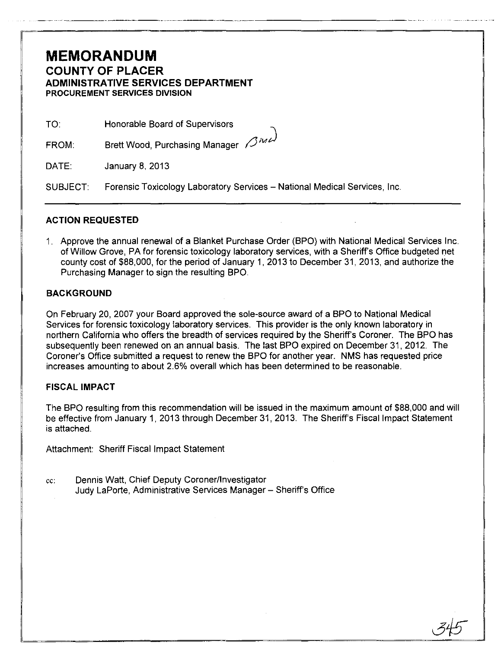### **MEMORANDUM COUNTY OF PLACER ADMINISTRATIVE SERVICES DEPARTMENT PROCUREMENT SERVICES DIVISION**

TO: Honorable Board of Supervisors

FROM: Brett Wood, Purchasing Manager (3ML)

DATE: January 8, 2013

SUBJECT: Forensic Toxicology Laboratory Services - National Medical Services, Inc.

#### **ACTION REQUESTED**

1. Approve the annual renewal of a Blanket Purchase Order (BPO) with National Medical Services Inc. of Willow Grove, PA for forensic toxicology laboratory services, with a Sheriff's Office budgeted net county cost of \$88,000, for the period of January 1, 2013 to December 31, 2013, and authorize the Purchasing Manager to sign the resulting BPO.

---~~~.~-~----------------

#### **BACKGROUND**

On February 20, 2007 your Board approved the sole-source award of a BPO to National Medical Services for forensic toxicology laboratory services. This provider is the only known laboratory in northern California who offers the breadth of services required by the Sheriff's Coroner. The BPO has subsequently been renewed on an annual basis. The last BPO expired on December 31,2012. The Coroner's Office submitted a request to renew the BPO for another year. NMS has requested price increases amounting to about 2.6% overall which has been determined to be reasonable.

#### FISCAL **IMPACT**

The BPO resulting from this recommendation will be issued in the maximum amount of \$88,000 and will be effective from January 1, 2013 through December 31, 2013. The Sheriff's Fiscal Impact Statement is attached.

Attachment: Sheriff Fiscal Impact Statement

cc: Dennis Watt, Chief Deputy Coronerllnvestigator Judy LaPorte, Administrative Services Manager - Sheriff's Office